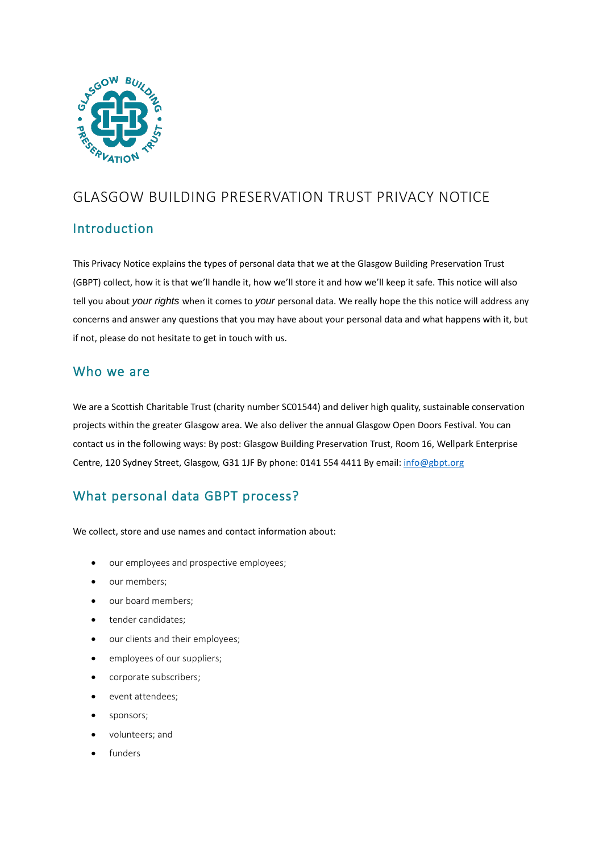

# GLASGOW BUILDING PRESERVATION TRUST PRIVACY NOTICE

## **Introduction**

This Privacy Notice explains the types of personal data that we at the Glasgow Building Preservation Trust (GBPT) collect, how it is that we'll handle it, how we'll store it and how we'll keep it safe. This notice will also tell you about *your rights* when it comes to *your* personal data. We really hope the this notice will address any concerns and answer any questions that you may have about your personal data and what happens with it, but if not, please do not hesitate to get in touch with us.

### Who we are

We are a Scottish Charitable Trust (charity number SC01544) and deliver high quality, sustainable conservation projects within the greater Glasgow area. We also deliver the annual Glasgow Open Doors Festival. You can contact us in the following ways: By post: Glasgow Building Preservation Trust, Room 16, Wellpark Enterprise Centre, 120 Sydney Street, Glasgow, G31 1JF By phone: 0141 554 4411 By email: [info@gbpt.org](mailto:info@gbpt.org)

# What personal data GBPT process?

We collect, store and use names and contact information about:

- our employees and prospective employees;
- our members;
- our board members:
- tender candidates:
- our clients and their employees;
- employees of our suppliers;
- corporate subscribers;
- event attendees;
- sponsors;
- volunteers; and
- funders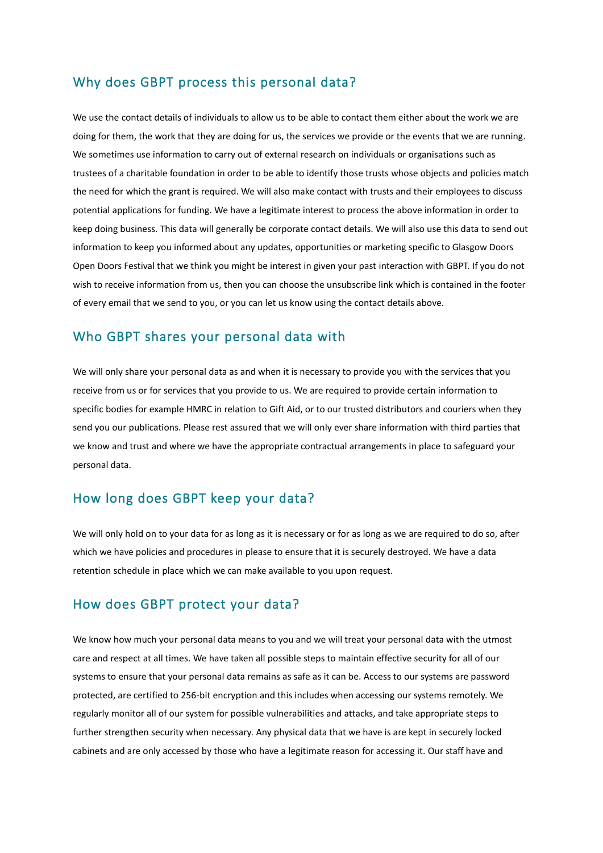#### Why does GBPT process this personal data?

We use the contact details of individuals to allow us to be able to contact them either about the work we are doing for them, the work that they are doing for us, the services we provide or the events that we are running. We sometimes use information to carry out of external research on individuals or organisations such as trustees of a charitable foundation in order to be able to identify those trusts whose objects and policies match the need for which the grant is required. We will also make contact with trusts and their employees to discuss potential applications for funding. We have a legitimate interest to process the above information in order to keep doing business. This data will generally be corporate contact details. We will also use this data to send out information to keep you informed about any updates, opportunities or marketing specific to Glasgow Doors Open Doors Festival that we think you might be interest in given your past interaction with GBPT. If you do not wish to receive information from us, then you can choose the unsubscribe link which is contained in the footer of every email that we send to you, or you can let us know using the contact details above.

#### Who GBPT shares your personal data with

We will only share your personal data as and when it is necessary to provide you with the services that you receive from us or for services that you provide to us. We are required to provide certain information to specific bodies for example HMRC in relation to Gift Aid, or to our trusted distributors and couriers when they send you our publications. Please rest assured that we will only ever share information with third parties that we know and trust and where we have the appropriate contractual arrangements in place to safeguard your personal data.

#### How long does GBPT keep your data?

We will only hold on to your data for as long as it is necessary or for as long as we are required to do so, after which we have policies and procedures in please to ensure that it is securely destroyed. We have a data retention schedule in place which we can make available to you upon request.

### How does GBPT protect your data?

We know how much your personal data means to you and we will treat your personal data with the utmost care and respect at all times. We have taken all possible steps to maintain effective security for all of our systems to ensure that your personal data remains as safe as it can be. Access to our systems are password protected, are certified to 256-bit encryption and this includes when accessing our systems remotely. We regularly monitor all of our system for possible vulnerabilities and attacks, and take appropriate steps to further strengthen security when necessary. Any physical data that we have is are kept in securely locked cabinets and are only accessed by those who have a legitimate reason for accessing it. Our staff have and